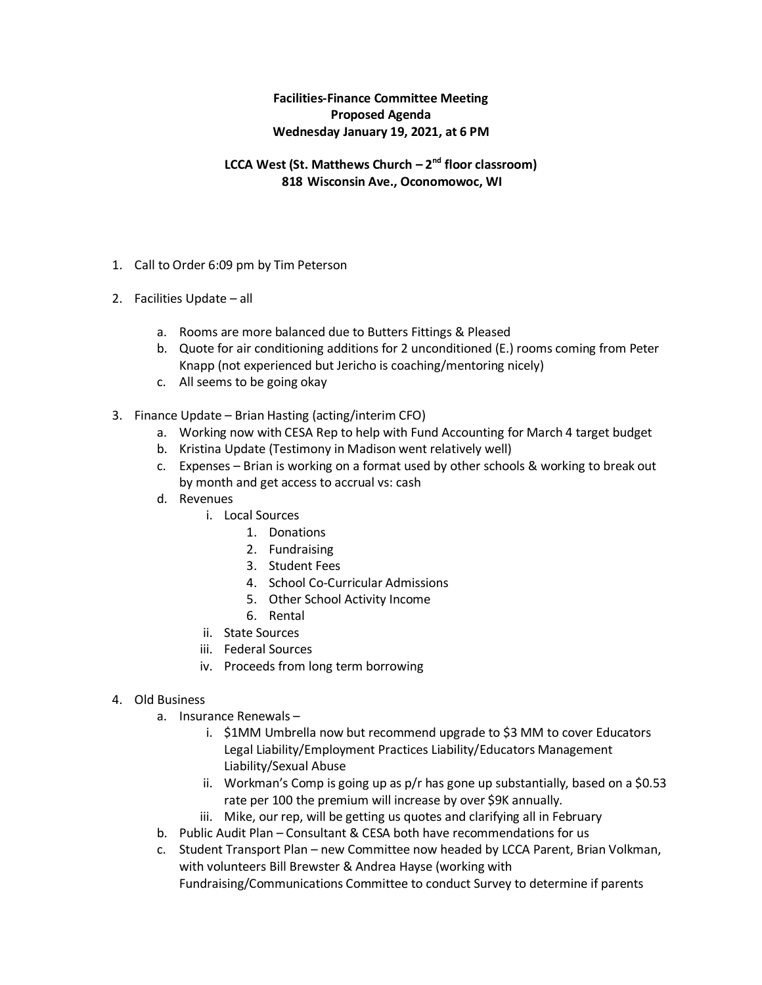## **Facilities-Finance Committee Meeting Proposed Agenda Wednesday January 19, 2021, at 6 PM**

## **LCCA West (St. Matthews Church – 2 nd floor classroom) 818 Wisconsin Ave., Oconomowoc, WI**

- 1. Call to Order 6:09 pm by Tim Peterson
- 2. Facilities Update all
	- a. Rooms are more balanced due to Butters Fittings & Pleased
	- b. Quote for air conditioning additions for 2 unconditioned (E.) rooms coming from Peter Knapp (not experienced but Jericho is coaching/mentoring nicely)
	- c. All seems to be going okay
- 3. Finance Update Brian Hasting (acting/interim CFO)
	- a. Working now with CESA Rep to help with Fund Accounting for March 4 target budget
	- b. Kristina Update (Testimony in Madison went relatively well)
	- c. Expenses Brian is working on a format used by other schools & working to break out by month and get access to accrual vs: cash
	- d. Revenues
		- i. Local Sources
			- 1. Donations
			- 2. Fundraising
			- 3. Student Fees
			- 4. School Co-Curricular Admissions
			- 5. Other School Activity Income
			- 6. Rental
		- ii. State Sources
		- iii. Federal Sources
		- iv. Proceeds from long term borrowing

## 4. Old Business

- a. Insurance Renewals
	- i. \$1MM Umbrella now but recommend upgrade to \$3 MM to cover Educators Legal Liability/Employment Practices Liability/Educators Management Liability/Sexual Abuse
	- ii. Workman's Comp is going up as p/r has gone up substantially, based on a \$0.53 rate per 100 the premium will increase by over \$9K annually.
	- iii. Mike, our rep, will be getting us quotes and clarifying all in February
- b. Public Audit Plan Consultant & CESA both have recommendations for us
- c. Student Transport Plan new Committee now headed by LCCA Parent, Brian Volkman, with volunteers Bill Brewster & Andrea Hayse (working with Fundraising/Communications Committee to conduct Survey to determine if parents